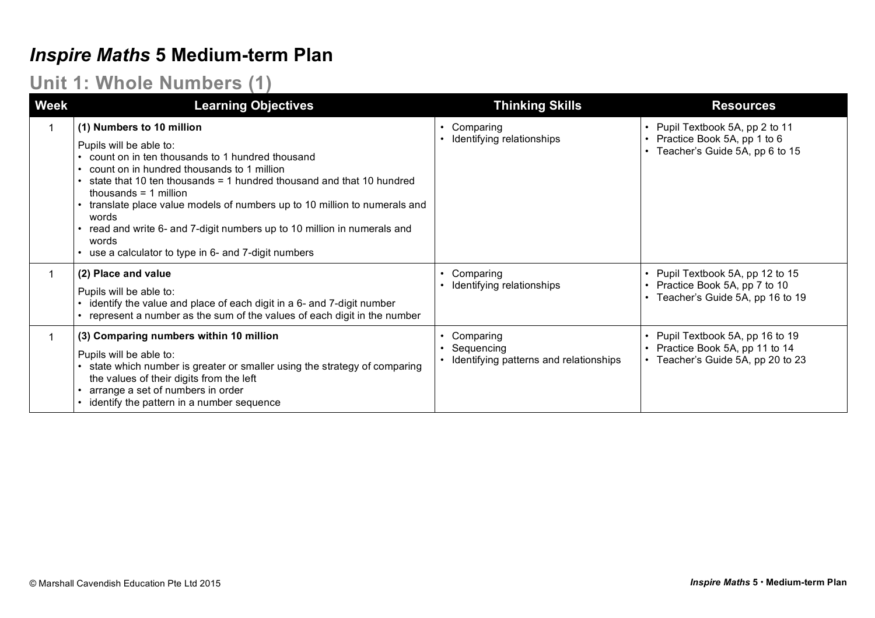### *Inspire Maths* **5 Medium-term Plan**

#### **Unit 1: Whole Numbers (1)**

| <b>Week</b> | <b>Learning Objectives</b>                                                                                                                                                                                                                                                                                                                                                                                                                                                               | <b>Thinking Skills</b>                                            | <b>Resources</b>                                                                                       |
|-------------|------------------------------------------------------------------------------------------------------------------------------------------------------------------------------------------------------------------------------------------------------------------------------------------------------------------------------------------------------------------------------------------------------------------------------------------------------------------------------------------|-------------------------------------------------------------------|--------------------------------------------------------------------------------------------------------|
|             | (1) Numbers to 10 million<br>Pupils will be able to:<br>count on in ten thousands to 1 hundred thousand<br>count on in hundred thousands to 1 million<br>state that 10 ten thousands $=$ 1 hundred thousand and that 10 hundred<br>thousands $=$ 1 million<br>translate place value models of numbers up to 10 million to numerals and<br>words<br>read and write 6- and 7-digit numbers up to 10 million in numerals and<br>words<br>use a calculator to type in 6- and 7-digit numbers | Comparing<br>Identifying relationships                            | • Pupil Textbook 5A, pp 2 to 11<br>• Practice Book 5A, pp 1 to 6<br>Teacher's Guide 5A, pp 6 to 15     |
|             | (2) Place and value<br>Pupils will be able to:<br>identify the value and place of each digit in a 6- and 7-digit number<br>represent a number as the sum of the values of each digit in the number                                                                                                                                                                                                                                                                                       | Comparing<br>Identifying relationships                            | • Pupil Textbook 5A, pp 12 to 15<br>• Practice Book 5A, pp 7 to 10<br>Teacher's Guide 5A, pp 16 to 19  |
|             | (3) Comparing numbers within 10 million<br>Pupils will be able to:<br>state which number is greater or smaller using the strategy of comparing<br>the values of their digits from the left<br>arrange a set of numbers in order<br>identify the pattern in a number sequence                                                                                                                                                                                                             | Comparing<br>Sequencing<br>Identifying patterns and relationships | • Pupil Textbook 5A, pp 16 to 19<br>• Practice Book 5A, pp 11 to 14<br>Teacher's Guide 5A, pp 20 to 23 |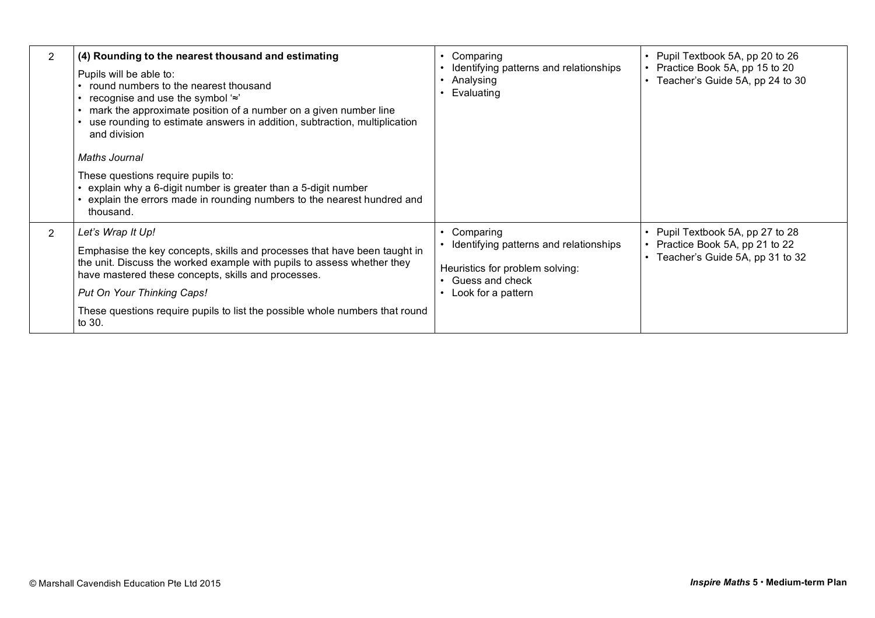| 2              | (4) Rounding to the nearest thousand and estimating<br>Pupils will be able to:<br>• round numbers to the nearest thousand<br>• recognise and use the symbol $\approx$<br>mark the approximate position of a number on a given number line<br>use rounding to estimate answers in addition, subtraction, multiplication<br>and division<br><b>Maths Journal</b><br>These questions require pupils to:<br>explain why a 6-digit number is greater than a 5-digit number<br>explain the errors made in rounding numbers to the nearest hundred and<br>thousand. | Comparing<br>Identifying patterns and relationships<br>Analysing<br>Evaluating                                                  | Pupil Textbook 5A, pp 20 to 26<br>Practice Book 5A, pp 15 to 20<br>Teacher's Guide 5A, pp 24 to 30 |
|----------------|--------------------------------------------------------------------------------------------------------------------------------------------------------------------------------------------------------------------------------------------------------------------------------------------------------------------------------------------------------------------------------------------------------------------------------------------------------------------------------------------------------------------------------------------------------------|---------------------------------------------------------------------------------------------------------------------------------|----------------------------------------------------------------------------------------------------|
| $\overline{2}$ | Let's Wrap It Up!<br>Emphasise the key concepts, skills and processes that have been taught in<br>the unit. Discuss the worked example with pupils to assess whether they<br>have mastered these concepts, skills and processes.<br>Put On Your Thinking Caps!<br>These questions require pupils to list the possible whole numbers that round<br>to 30.                                                                                                                                                                                                     | Comparing<br>Identifying patterns and relationships<br>Heuristics for problem solving:<br>Guess and check<br>Look for a pattern | Pupil Textbook 5A, pp 27 to 28<br>Practice Book 5A, pp 21 to 22<br>Teacher's Guide 5A, pp 31 to 32 |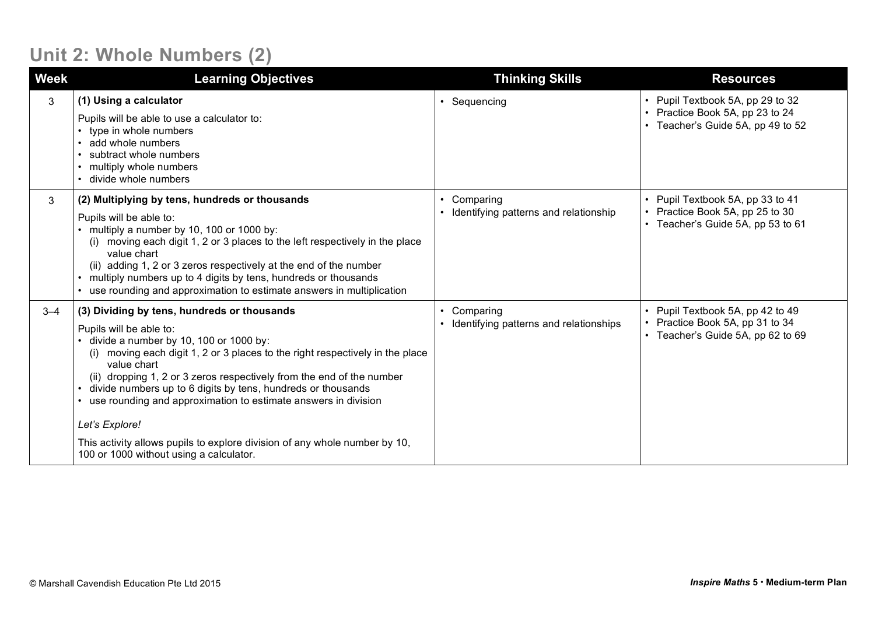#### **Unit 2: Whole Numbers (2)**

| <b>Week</b> | <b>Learning Objectives</b>                                                                                                                                                                                                                                                                                                                                                                                                                                                                                                                                                          | <b>Thinking Skills</b>                                           | <b>Resources</b>                                                                                         |
|-------------|-------------------------------------------------------------------------------------------------------------------------------------------------------------------------------------------------------------------------------------------------------------------------------------------------------------------------------------------------------------------------------------------------------------------------------------------------------------------------------------------------------------------------------------------------------------------------------------|------------------------------------------------------------------|----------------------------------------------------------------------------------------------------------|
| 3           | (1) Using a calculator<br>Pupils will be able to use a calculator to:<br>type in whole numbers<br>add whole numbers<br>subtract whole numbers<br>multiply whole numbers<br>• divide whole numbers                                                                                                                                                                                                                                                                                                                                                                                   | • Sequencing                                                     | • Pupil Textbook 5A, pp 29 to 32<br>• Practice Book 5A, pp 23 to 24<br>• Teacher's Guide 5A, pp 49 to 52 |
| 3           | (2) Multiplying by tens, hundreds or thousands<br>Pupils will be able to:<br>multiply a number by 10, 100 or 1000 by:<br>(i) moving each digit 1, 2 or 3 places to the left respectively in the place<br>value chart<br>(ii) adding 1, 2 or 3 zeros respectively at the end of the number<br>• multiply numbers up to 4 digits by tens, hundreds or thousands<br>• use rounding and approximation to estimate answers in multiplication                                                                                                                                             | Comparing<br>Identifying patterns and relationship               | • Pupil Textbook 5A, pp 33 to 41<br>• Practice Book 5A, pp 25 to 30<br>• Teacher's Guide 5A, pp 53 to 61 |
| $3 - 4$     | (3) Dividing by tens, hundreds or thousands<br>Pupils will be able to:<br>divide a number by 10, 100 or 1000 by:<br>(i) moving each digit 1, 2 or 3 places to the right respectively in the place<br>value chart<br>(ii) dropping 1, 2 or 3 zeros respectively from the end of the number<br>divide numbers up to 6 digits by tens, hundreds or thousands<br>$\bullet$<br>use rounding and approximation to estimate answers in division<br>Let's Explore!<br>This activity allows pupils to explore division of any whole number by 10,<br>100 or 1000 without using a calculator. | Comparing<br>$\bullet$<br>Identifying patterns and relationships | • Pupil Textbook 5A, pp 42 to 49<br>• Practice Book 5A, pp 31 to 34<br>• Teacher's Guide 5A, pp 62 to 69 |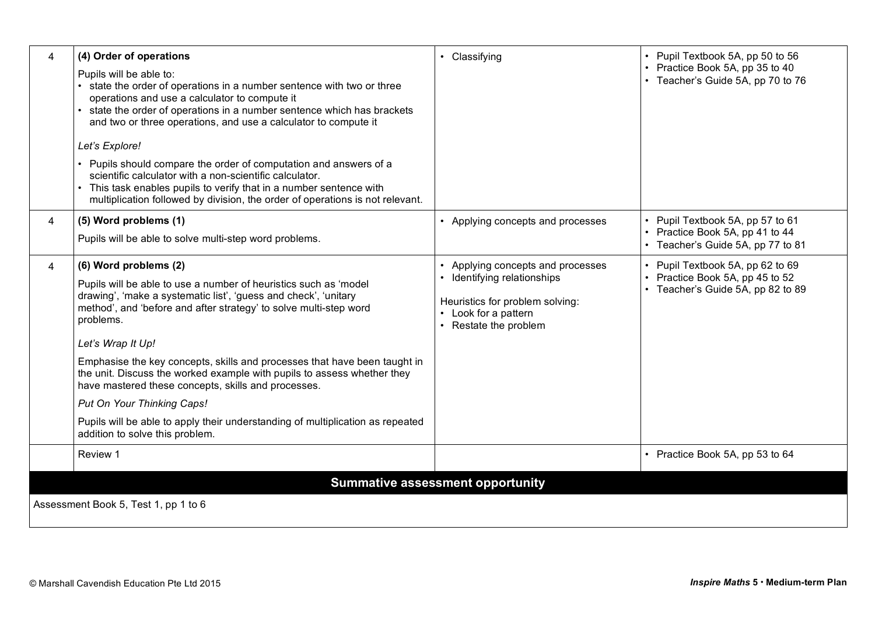| 4                                                                               | (4) Order of operations<br>Pupils will be able to:<br>• state the order of operations in a number sentence with two or three<br>operations and use a calculator to compute it<br>• state the order of operations in a number sentence which has brackets<br>and two or three operations, and use a calculator to compute it<br>Let's Explore!<br>• Pupils should compare the order of computation and answers of a<br>scientific calculator with a non-scientific calculator.<br>• This task enables pupils to verify that in a number sentence with<br>multiplication followed by division, the order of operations is not relevant. | • Classifying                                                                                                                                | • Pupil Textbook 5A, pp 50 to 56<br>Practice Book 5A, pp 35 to 40<br>• Teacher's Guide 5A, pp 70 to 76   |
|---------------------------------------------------------------------------------|---------------------------------------------------------------------------------------------------------------------------------------------------------------------------------------------------------------------------------------------------------------------------------------------------------------------------------------------------------------------------------------------------------------------------------------------------------------------------------------------------------------------------------------------------------------------------------------------------------------------------------------|----------------------------------------------------------------------------------------------------------------------------------------------|----------------------------------------------------------------------------------------------------------|
| 4                                                                               | (5) Word problems (1)<br>Pupils will be able to solve multi-step word problems.                                                                                                                                                                                                                                                                                                                                                                                                                                                                                                                                                       | • Applying concepts and processes                                                                                                            | • Pupil Textbook 5A, pp 57 to 61<br>Practice Book 5A, pp 41 to 44<br>• Teacher's Guide 5A, pp 77 to 81   |
| 4                                                                               | (6) Word problems (2)<br>Pupils will be able to use a number of heuristics such as 'model<br>drawing', 'make a systematic list', 'guess and check', 'unitary<br>method', and 'before and after strategy' to solve multi-step word<br>problems.<br>Let's Wrap It Up!<br>Emphasise the key concepts, skills and processes that have been taught in<br>the unit. Discuss the worked example with pupils to assess whether they<br>have mastered these concepts, skills and processes.<br>Put On Your Thinking Caps!<br>Pupils will be able to apply their understanding of multiplication as repeated<br>addition to solve this problem. | Applying concepts and processes<br>Identifying relationships<br>Heuristics for problem solving:<br>Look for a pattern<br>Restate the problem | • Pupil Textbook 5A, pp 62 to 69<br>• Practice Book 5A, pp 45 to 52<br>• Teacher's Guide 5A, pp 82 to 89 |
|                                                                                 | Review 1                                                                                                                                                                                                                                                                                                                                                                                                                                                                                                                                                                                                                              |                                                                                                                                              | • Practice Book 5A, pp 53 to 64                                                                          |
| <b>Summative assessment opportunity</b><br>Assessment Book 5, Test 1, pp 1 to 6 |                                                                                                                                                                                                                                                                                                                                                                                                                                                                                                                                                                                                                                       |                                                                                                                                              |                                                                                                          |
|                                                                                 |                                                                                                                                                                                                                                                                                                                                                                                                                                                                                                                                                                                                                                       |                                                                                                                                              |                                                                                                          |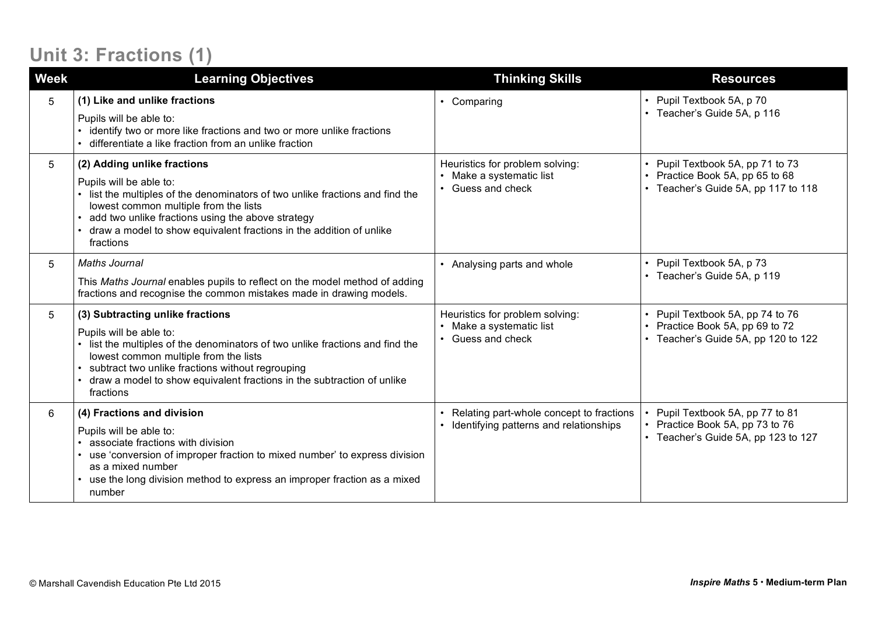## **Unit 3: Fractions (1)**

| <b>Week</b> | <b>Learning Objectives</b>                                                                                                                                                                                                                                                                                                     | <b>Thinking Skills</b>                                                                    | <b>Resources</b>                                                                                     |
|-------------|--------------------------------------------------------------------------------------------------------------------------------------------------------------------------------------------------------------------------------------------------------------------------------------------------------------------------------|-------------------------------------------------------------------------------------------|------------------------------------------------------------------------------------------------------|
| 5           | (1) Like and unlike fractions<br>Pupils will be able to:<br>identify two or more like fractions and two or more unlike fractions<br>differentiate a like fraction from an unlike fraction                                                                                                                                      | • Comparing                                                                               | • Pupil Textbook 5A, p 70<br>Teacher's Guide 5A, p 116                                               |
| 5           | (2) Adding unlike fractions<br>Pupils will be able to:<br>list the multiples of the denominators of two unlike fractions and find the<br>lowest common multiple from the lists<br>add two unlike fractions using the above strategy<br>draw a model to show equivalent fractions in the addition of unlike<br>fractions        | Heuristics for problem solving:<br>Make a systematic list<br>$\bullet$<br>Guess and check | Pupil Textbook 5A, pp 71 to 73<br>Practice Book 5A, pp 65 to 68<br>Teacher's Guide 5A, pp 117 to 118 |
| 5           | <b>Maths Journal</b><br>This Maths Journal enables pupils to reflect on the model method of adding<br>fractions and recognise the common mistakes made in drawing models.                                                                                                                                                      | • Analysing parts and whole                                                               | Pupil Textbook 5A, p 73<br>Teacher's Guide 5A, p 119                                                 |
| 5           | (3) Subtracting unlike fractions<br>Pupils will be able to:<br>list the multiples of the denominators of two unlike fractions and find the<br>lowest common multiple from the lists<br>subtract two unlike fractions without regrouping<br>draw a model to show equivalent fractions in the subtraction of unlike<br>fractions | Heuristics for problem solving:<br>Make a systematic list<br>$\bullet$<br>Guess and check | Pupil Textbook 5A, pp 74 to 76<br>Practice Book 5A, pp 69 to 72<br>Teacher's Guide 5A, pp 120 to 122 |
| 6           | (4) Fractions and division<br>Pupils will be able to:<br>associate fractions with division<br>use 'conversion of improper fraction to mixed number' to express division<br>as a mixed number<br>use the long division method to express an improper fraction as a mixed<br>number                                              | Relating part-whole concept to fractions<br>Identifying patterns and relationships        | Pupil Textbook 5A, pp 77 to 81<br>Practice Book 5A, pp 73 to 76<br>Teacher's Guide 5A, pp 123 to 127 |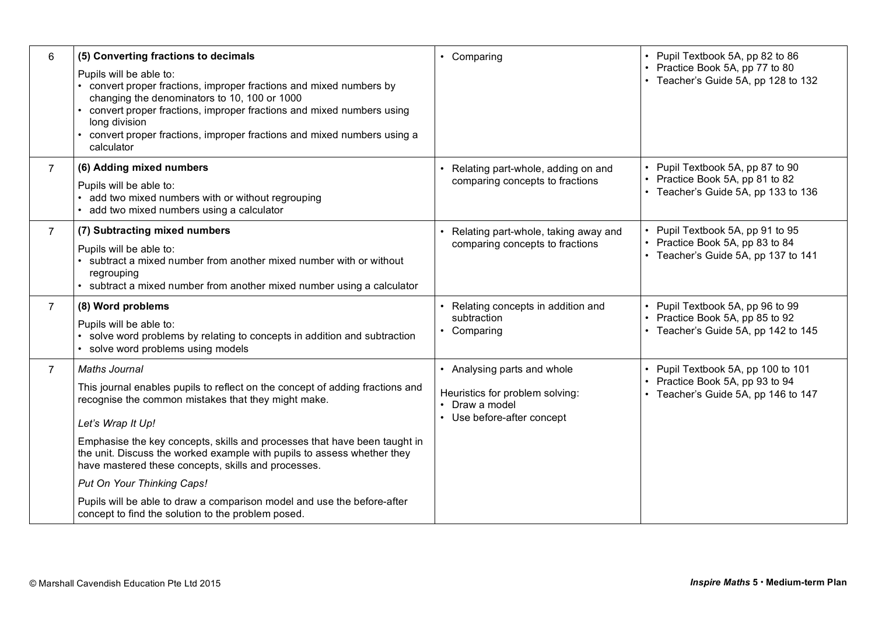| Pupils will be able to:<br>• convert proper fractions, improper fractions and mixed numbers by<br>changing the denominators to 10, 100 or 1000<br>• convert proper fractions, improper fractions and mixed numbers using<br>long division<br>convert proper fractions, improper fractions and mixed numbers using a<br>calculator                                                                                                                                                                         |                                                                                                                | • Practice Book 5A, pp 77 to 80<br>• Teacher's Guide 5A, pp 128 to 132                                       |
|-----------------------------------------------------------------------------------------------------------------------------------------------------------------------------------------------------------------------------------------------------------------------------------------------------------------------------------------------------------------------------------------------------------------------------------------------------------------------------------------------------------|----------------------------------------------------------------------------------------------------------------|--------------------------------------------------------------------------------------------------------------|
| (6) Adding mixed numbers<br>Pupils will be able to:<br>add two mixed numbers with or without regrouping<br>• add two mixed numbers using a calculator                                                                                                                                                                                                                                                                                                                                                     | Relating part-whole, adding on and<br>comparing concepts to fractions                                          | • Pupil Textbook 5A, pp 87 to 90<br>Practice Book 5A, pp 81 to 82<br>• Teacher's Guide 5A, pp 133 to 136     |
| (7) Subtracting mixed numbers<br>Pupils will be able to:<br>• subtract a mixed number from another mixed number with or without<br>regrouping<br>• subtract a mixed number from another mixed number using a calculator                                                                                                                                                                                                                                                                                   | • Relating part-whole, taking away and<br>comparing concepts to fractions                                      | Pupil Textbook 5A, pp 91 to 95<br>Practice Book 5A, pp 83 to 84<br>• Teacher's Guide 5A, pp 137 to 141       |
| (8) Word problems<br>Pupils will be able to:<br>• solve word problems by relating to concepts in addition and subtraction<br>• solve word problems using models                                                                                                                                                                                                                                                                                                                                           | Relating concepts in addition and<br>subtraction<br>• Comparing                                                | • Pupil Textbook 5A, pp 96 to 99<br>• Practice Book 5A, pp 85 to 92<br>• Teacher's Guide 5A, pp 142 to 145   |
| <b>Maths Journal</b><br>This journal enables pupils to reflect on the concept of adding fractions and<br>recognise the common mistakes that they might make.<br>Let's Wrap It Up!<br>Emphasise the key concepts, skills and processes that have been taught in<br>the unit. Discuss the worked example with pupils to assess whether they<br>have mastered these concepts, skills and processes.<br>Put On Your Thinking Caps!<br>Pupils will be able to draw a comparison model and use the before-after | • Analysing parts and whole<br>Heuristics for problem solving:<br>• Draw a model<br>• Use before-after concept | • Pupil Textbook 5A, pp 100 to 101<br>• Practice Book 5A, pp 93 to 94<br>• Teacher's Guide 5A, pp 146 to 147 |
|                                                                                                                                                                                                                                                                                                                                                                                                                                                                                                           | concept to find the solution to the problem posed.                                                             |                                                                                                              |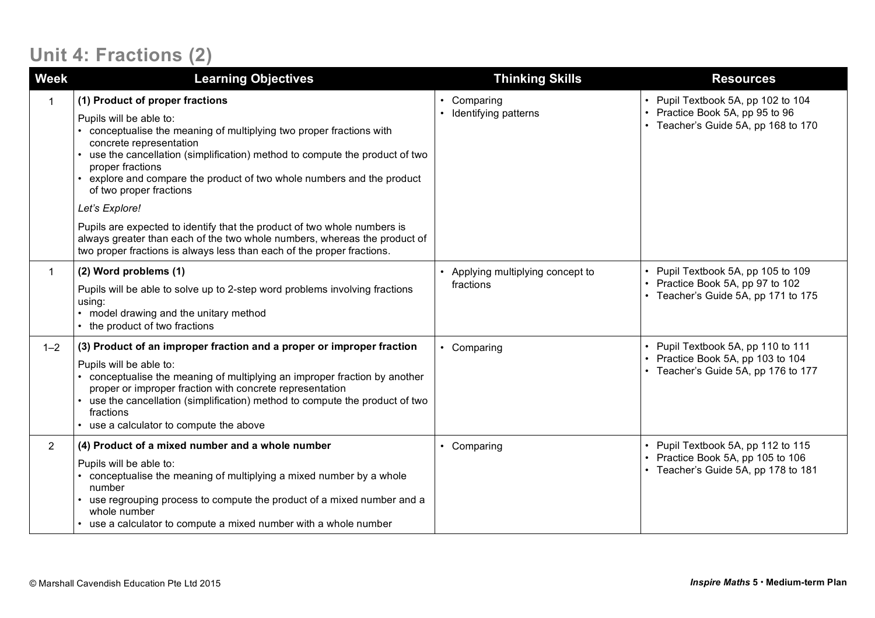## **Unit 4: Fractions (2)**

| Week           | <b>Learning Objectives</b>                                                                                                                                                                                                                                                                                                                                                                                                                                                                                                                                                                                            | <b>Thinking Skills</b>                       | <b>Resources</b>                                                                                               |
|----------------|-----------------------------------------------------------------------------------------------------------------------------------------------------------------------------------------------------------------------------------------------------------------------------------------------------------------------------------------------------------------------------------------------------------------------------------------------------------------------------------------------------------------------------------------------------------------------------------------------------------------------|----------------------------------------------|----------------------------------------------------------------------------------------------------------------|
|                | (1) Product of proper fractions<br>Pupils will be able to:<br>conceptualise the meaning of multiplying two proper fractions with<br>concrete representation<br>use the cancellation (simplification) method to compute the product of two<br>proper fractions<br>explore and compare the product of two whole numbers and the product<br>of two proper fractions<br>Let's Explore!<br>Pupils are expected to identify that the product of two whole numbers is<br>always greater than each of the two whole numbers, whereas the product of<br>two proper fractions is always less than each of the proper fractions. | Comparing<br>Identifying patterns            | • Pupil Textbook 5A, pp 102 to 104<br>• Practice Book 5A, pp 95 to 96<br>• Teacher's Guide 5A, pp 168 to 170   |
| 1              | (2) Word problems (1)<br>Pupils will be able to solve up to 2-step word problems involving fractions<br>using:<br>• model drawing and the unitary method<br>the product of two fractions                                                                                                                                                                                                                                                                                                                                                                                                                              | Applying multiplying concept to<br>fractions | • Pupil Textbook 5A, pp 105 to 109<br>• Practice Book 5A, pp 97 to 102<br>• Teacher's Guide 5A, pp 171 to 175  |
| $1 - 2$        | (3) Product of an improper fraction and a proper or improper fraction<br>Pupils will be able to:<br>conceptualise the meaning of multiplying an improper fraction by another<br>proper or improper fraction with concrete representation<br>use the cancellation (simplification) method to compute the product of two<br>fractions<br>use a calculator to compute the above                                                                                                                                                                                                                                          | • Comparing                                  | • Pupil Textbook 5A, pp 110 to 111<br>• Practice Book 5A, pp 103 to 104<br>• Teacher's Guide 5A, pp 176 to 177 |
| $\overline{2}$ | (4) Product of a mixed number and a whole number<br>Pupils will be able to:<br>conceptualise the meaning of multiplying a mixed number by a whole<br>number<br>use regrouping process to compute the product of a mixed number and a<br>whole number<br>use a calculator to compute a mixed number with a whole number                                                                                                                                                                                                                                                                                                | Comparing                                    | • Pupil Textbook 5A, pp 112 to 115<br>• Practice Book 5A, pp 105 to 106<br>• Teacher's Guide 5A, pp 178 to 181 |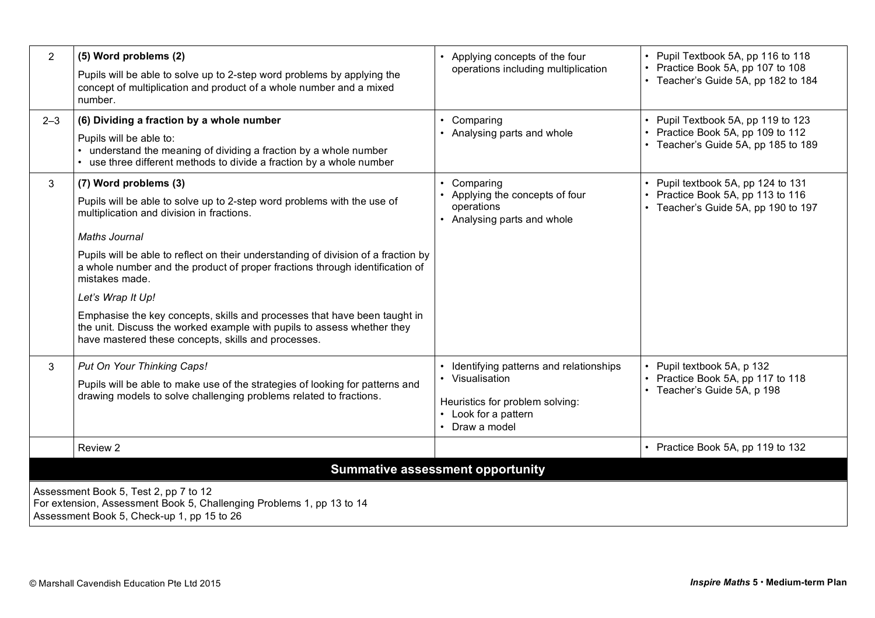| $\overline{2}$                                                                                                                                               | (5) Word problems (2)                                                                                                                                                                                       | Applying concepts of the four                                              | • Pupil Textbook 5A, pp 116 to 118<br>• Practice Book 5A, pp 107 to 108<br>• Teacher's Guide 5A, pp 182 to 184 |
|--------------------------------------------------------------------------------------------------------------------------------------------------------------|-------------------------------------------------------------------------------------------------------------------------------------------------------------------------------------------------------------|----------------------------------------------------------------------------|----------------------------------------------------------------------------------------------------------------|
|                                                                                                                                                              | Pupils will be able to solve up to 2-step word problems by applying the<br>concept of multiplication and product of a whole number and a mixed<br>number.                                                   | operations including multiplication                                        |                                                                                                                |
| $2 - 3$                                                                                                                                                      | (6) Dividing a fraction by a whole number                                                                                                                                                                   | Comparing                                                                  | • Pupil Textbook 5A, pp 119 to 123                                                                             |
|                                                                                                                                                              | Pupils will be able to:<br>• understand the meaning of dividing a fraction by a whole number<br>• use three different methods to divide a fraction by a whole number                                        | Analysing parts and whole                                                  | • Practice Book 5A, pp 109 to 112<br>• Teacher's Guide 5A, pp 185 to 189                                       |
| 3                                                                                                                                                            | (7) Word problems (3)                                                                                                                                                                                       | Comparing                                                                  | • Pupil textbook 5A, pp 124 to 131                                                                             |
|                                                                                                                                                              | Pupils will be able to solve up to 2-step word problems with the use of<br>multiplication and division in fractions.                                                                                        | Applying the concepts of four<br>operations<br>• Analysing parts and whole | Practice Book 5A, pp 113 to 116<br>• Teacher's Guide 5A, pp 190 to 197                                         |
|                                                                                                                                                              | <b>Maths Journal</b>                                                                                                                                                                                        |                                                                            |                                                                                                                |
|                                                                                                                                                              | Pupils will be able to reflect on their understanding of division of a fraction by<br>a whole number and the product of proper fractions through identification of<br>mistakes made.                        |                                                                            |                                                                                                                |
|                                                                                                                                                              | Let's Wrap It Up!                                                                                                                                                                                           |                                                                            |                                                                                                                |
|                                                                                                                                                              | Emphasise the key concepts, skills and processes that have been taught in<br>the unit. Discuss the worked example with pupils to assess whether they<br>have mastered these concepts, skills and processes. |                                                                            |                                                                                                                |
| $\mathbf{3}$                                                                                                                                                 | Put On Your Thinking Caps!                                                                                                                                                                                  | Identifying patterns and relationships                                     | • Pupil textbook 5A, p 132                                                                                     |
|                                                                                                                                                              | Pupils will be able to make use of the strategies of looking for patterns and                                                                                                                               | • Visualisation                                                            | • Practice Book 5A, pp 117 to 118<br>• Teacher's Guide 5A, p 198                                               |
|                                                                                                                                                              | drawing models to solve challenging problems related to fractions.                                                                                                                                          | Heuristics for problem solving:<br>• Look for a pattern<br>Draw a model    |                                                                                                                |
|                                                                                                                                                              | Review 2                                                                                                                                                                                                    |                                                                            | • Practice Book 5A, pp 119 to 132                                                                              |
| <b>Summative assessment opportunity</b>                                                                                                                      |                                                                                                                                                                                                             |                                                                            |                                                                                                                |
| Assessment Book 5, Test 2, pp 7 to 12<br>For extension, Assessment Book 5, Challenging Problems 1, pp 13 to 14<br>Assessment Book 5, Check-up 1, pp 15 to 26 |                                                                                                                                                                                                             |                                                                            |                                                                                                                |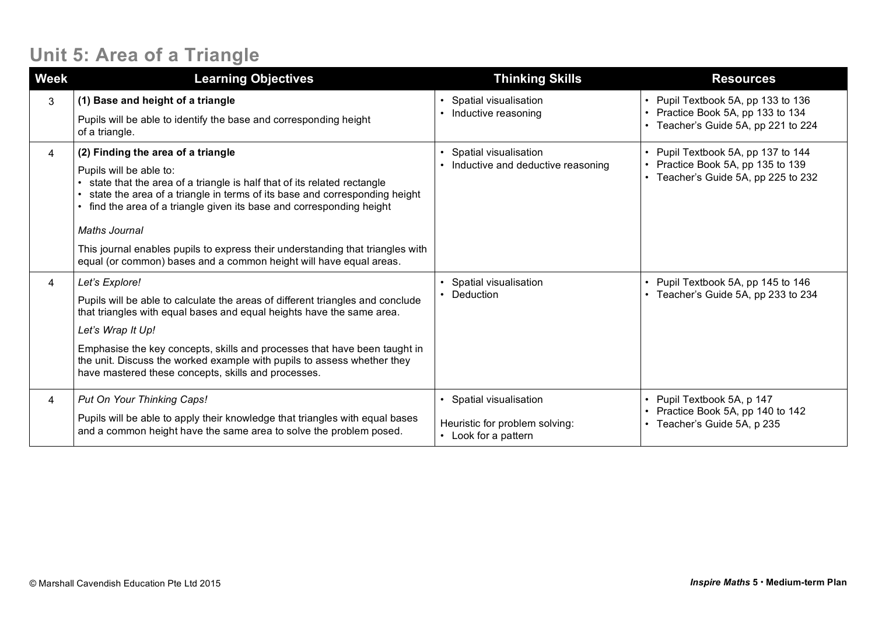### **Unit 5: Area of a Triangle**

| <b>Week</b> | <b>Learning Objectives</b>                                                                                                                                                                                                                                                                                                                                                                                                                                             | <b>Thinking Skills</b>                                                          | <b>Resources</b>                                                                                               |
|-------------|------------------------------------------------------------------------------------------------------------------------------------------------------------------------------------------------------------------------------------------------------------------------------------------------------------------------------------------------------------------------------------------------------------------------------------------------------------------------|---------------------------------------------------------------------------------|----------------------------------------------------------------------------------------------------------------|
| 3           | (1) Base and height of a triangle<br>Pupils will be able to identify the base and corresponding height<br>of a triangle.                                                                                                                                                                                                                                                                                                                                               | Spatial visualisation<br>Inductive reasoning                                    | • Pupil Textbook 5A, pp 133 to 136<br>• Practice Book 5A, pp 133 to 134<br>• Teacher's Guide 5A, pp 221 to 224 |
| 4           | (2) Finding the area of a triangle<br>Pupils will be able to:<br>state that the area of a triangle is half that of its related rectangle<br>state the area of a triangle in terms of its base and corresponding height<br>find the area of a triangle given its base and corresponding height<br>Maths Journal<br>This journal enables pupils to express their understanding that triangles with<br>equal (or common) bases and a common height will have equal areas. | Spatial visualisation<br>Inductive and deductive reasoning                      | Pupil Textbook 5A, pp 137 to 144<br>Practice Book 5A, pp 135 to 139<br>Teacher's Guide 5A, pp 225 to 232       |
| 4           | Let's Explore!<br>Pupils will be able to calculate the areas of different triangles and conclude<br>that triangles with equal bases and equal heights have the same area.<br>Let's Wrap It Up!<br>Emphasise the key concepts, skills and processes that have been taught in<br>the unit. Discuss the worked example with pupils to assess whether they<br>have mastered these concepts, skills and processes.                                                          | Spatial visualisation<br>Deduction                                              | • Pupil Textbook 5A, pp 145 to 146<br>• Teacher's Guide 5A, pp 233 to 234                                      |
| 4           | Put On Your Thinking Caps!<br>Pupils will be able to apply their knowledge that triangles with equal bases<br>and a common height have the same area to solve the problem posed.                                                                                                                                                                                                                                                                                       | Spatial visualisation<br>Heuristic for problem solving:<br>• Look for a pattern | • Pupil Textbook 5A, p 147<br>• Practice Book 5A, pp 140 to 142<br>• Teacher's Guide 5A, p 235                 |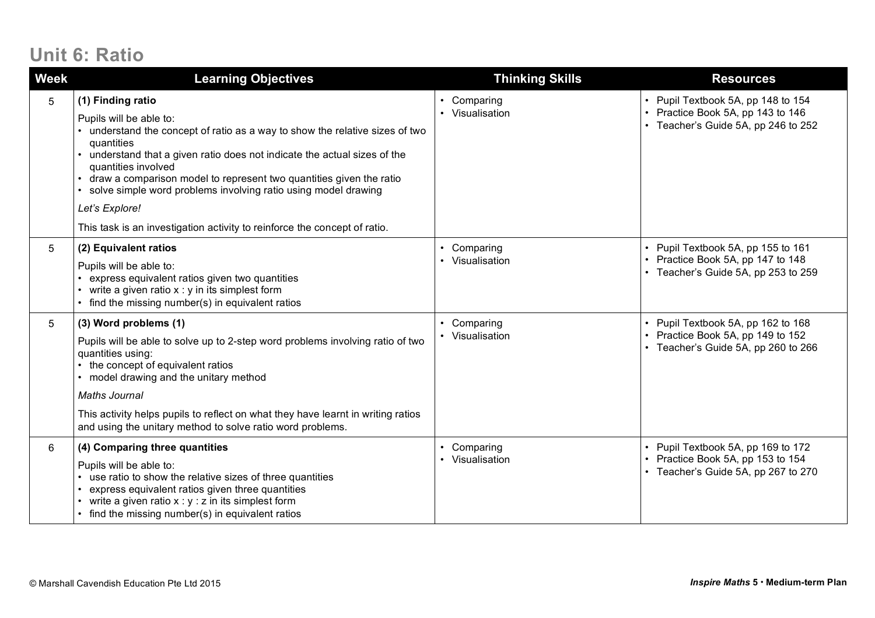### **Unit 6: Ratio**

| <b>Week</b> | <b>Learning Objectives</b>                                                                                                                                                                                                                                                                                                                                                                                                                                                         | <b>Thinking Skills</b>                    | <b>Resources</b>                                                                                               |
|-------------|------------------------------------------------------------------------------------------------------------------------------------------------------------------------------------------------------------------------------------------------------------------------------------------------------------------------------------------------------------------------------------------------------------------------------------------------------------------------------------|-------------------------------------------|----------------------------------------------------------------------------------------------------------------|
| 5           | (1) Finding ratio<br>Pupils will be able to:<br>understand the concept of ratio as a way to show the relative sizes of two<br>quantities<br>understand that a given ratio does not indicate the actual sizes of the<br>quantities involved<br>draw a comparison model to represent two quantities given the ratio<br>solve simple word problems involving ratio using model drawing<br>Let's Explore!<br>This task is an investigation activity to reinforce the concept of ratio. | Comparing<br>• Visualisation              | • Pupil Textbook 5A, pp 148 to 154<br>• Practice Book 5A, pp 143 to 146<br>• Teacher's Guide 5A, pp 246 to 252 |
| 5           | (2) Equivalent ratios<br>Pupils will be able to:<br>express equivalent ratios given two quantities<br>• write a given ratio $x : y$ in its simplest form<br>• find the missing number(s) in equivalent ratios                                                                                                                                                                                                                                                                      | Comparing<br>$\bullet$<br>• Visualisation | • Pupil Textbook 5A, pp 155 to 161<br>• Practice Book 5A, pp 147 to 148<br>• Teacher's Guide 5A, pp 253 to 259 |
| 5           | (3) Word problems (1)<br>Pupils will be able to solve up to 2-step word problems involving ratio of two<br>quantities using:<br>the concept of equivalent ratios<br>model drawing and the unitary method<br><b>Maths Journal</b><br>This activity helps pupils to reflect on what they have learnt in writing ratios<br>and using the unitary method to solve ratio word problems.                                                                                                 | Comparing<br>• Visualisation              | • Pupil Textbook 5A, pp 162 to 168<br>• Practice Book 5A, pp 149 to 152<br>Teacher's Guide 5A, pp 260 to 266   |
| 6           | (4) Comparing three quantities<br>Pupils will be able to:<br>use ratio to show the relative sizes of three quantities<br>express equivalent ratios given three quantities<br>write a given ratio $x : y : z$ in its simplest form<br>• find the missing number(s) in equivalent ratios                                                                                                                                                                                             | Comparing<br>Visualisation                | • Pupil Textbook 5A, pp 169 to 172<br>• Practice Book 5A, pp 153 to 154<br>• Teacher's Guide 5A, pp 267 to 270 |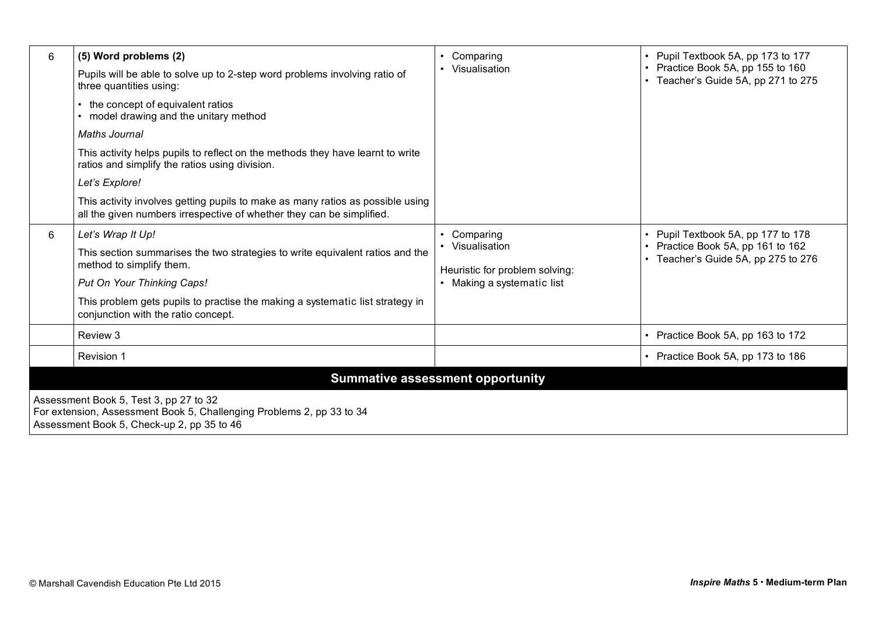| 6                                                                                                                                                             | (5) Word problems (2)                                                                                                                                   | Comparing<br>$\bullet$<br>Visualisation<br>$\bullet$ | • Pupil Textbook 5A, pp 173 to 177<br>• Practice Book 5A, pp 155 to 160<br>• Teacher's Guide 5A, pp 271 to 275 |  |
|---------------------------------------------------------------------------------------------------------------------------------------------------------------|---------------------------------------------------------------------------------------------------------------------------------------------------------|------------------------------------------------------|----------------------------------------------------------------------------------------------------------------|--|
|                                                                                                                                                               | Pupils will be able to solve up to 2-step word problems involving ratio of<br>three quantities using:                                                   |                                                      |                                                                                                                |  |
|                                                                                                                                                               | • the concept of equivalent ratios<br>• model drawing and the unitary method                                                                            |                                                      |                                                                                                                |  |
|                                                                                                                                                               | Maths Journal                                                                                                                                           |                                                      |                                                                                                                |  |
|                                                                                                                                                               | This activity helps pupils to reflect on the methods they have learnt to write<br>ratios and simplify the ratios using division.                        |                                                      |                                                                                                                |  |
|                                                                                                                                                               | Let's Explore!                                                                                                                                          |                                                      |                                                                                                                |  |
|                                                                                                                                                               | This activity involves getting pupils to make as many ratios as possible using<br>all the given numbers irrespective of whether they can be simplified. |                                                      |                                                                                                                |  |
| 6                                                                                                                                                             | Let's Wrap It Up!                                                                                                                                       | Comparing<br>$\bullet$                               | • Pupil Textbook 5A, pp 177 to 178                                                                             |  |
|                                                                                                                                                               | This section summarises the two strategies to write equivalent ratios and the<br>method to simplify them.                                               | Visualisation<br>Heuristic for problem solving:      | • Practice Book 5A, pp 161 to 162<br>• Teacher's Guide 5A, pp 275 to 276                                       |  |
|                                                                                                                                                               | Put On Your Thinking Caps!                                                                                                                              | • Making a systematic list                           |                                                                                                                |  |
|                                                                                                                                                               | This problem gets pupils to practise the making a systematic list strategy in<br>conjunction with the ratio concept.                                    |                                                      |                                                                                                                |  |
|                                                                                                                                                               | Review 3                                                                                                                                                |                                                      | • Practice Book 5A, pp 163 to 172                                                                              |  |
|                                                                                                                                                               | Revision 1                                                                                                                                              |                                                      | • Practice Book 5A, pp 173 to 186                                                                              |  |
| <b>Summative assessment opportunity</b>                                                                                                                       |                                                                                                                                                         |                                                      |                                                                                                                |  |
| Assessment Book 5, Test 3, pp 27 to 32<br>For extension, Assessment Book 5, Challenging Problems 2, pp 33 to 34<br>Assessment Book 5, Check-up 2, pp 35 to 46 |                                                                                                                                                         |                                                      |                                                                                                                |  |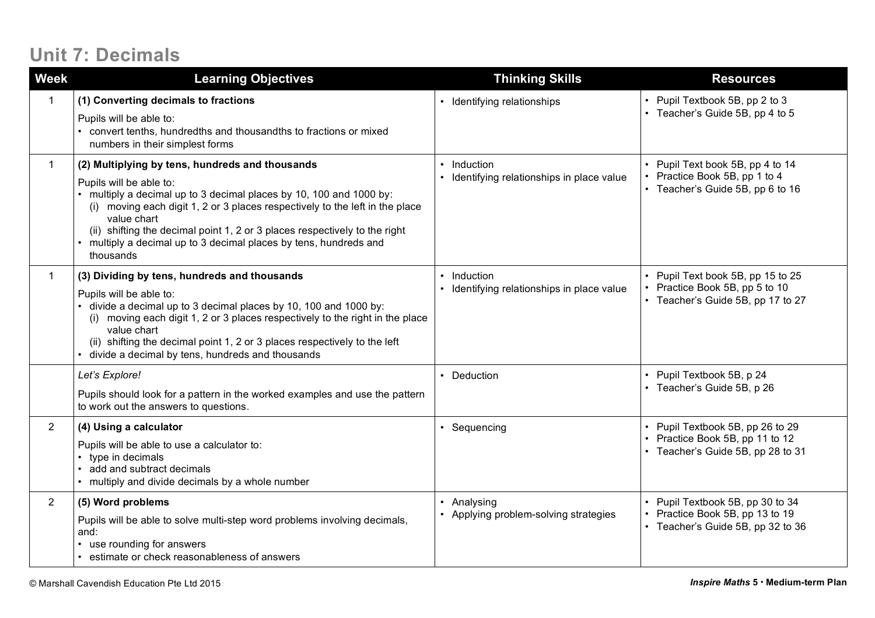### **Unit 7: Decimals**

| <b>Week</b>    | <b>Learning Objectives</b>                                                                                                                                                                                                                                                                                                                                                                                                | <b>Thinking Skills</b>                                                          | <b>Resources</b>                                                                                     |
|----------------|---------------------------------------------------------------------------------------------------------------------------------------------------------------------------------------------------------------------------------------------------------------------------------------------------------------------------------------------------------------------------------------------------------------------------|---------------------------------------------------------------------------------|------------------------------------------------------------------------------------------------------|
|                | (1) Converting decimals to fractions<br>Pupils will be able to:<br>convert tenths, hundredths and thousandths to fractions or mixed<br>$\bullet$<br>numbers in their simplest forms                                                                                                                                                                                                                                       | • Identifying relationships                                                     | Pupil Textbook 5B, pp 2 to 3<br>• Teacher's Guide 5B, pp 4 to 5                                      |
|                | (2) Multiplying by tens, hundreds and thousands<br>Pupils will be able to:<br>multiply a decimal up to 3 decimal places by 10, 100 and 1000 by:<br>(i) moving each digit 1, 2 or 3 places respectively to the left in the place<br>value chart<br>(ii) shifting the decimal point 1, 2 or 3 places respectively to the right<br>multiply a decimal up to 3 decimal places by tens, hundreds and<br>$\bullet$<br>thousands | Induction<br>$\bullet$<br>Identifying relationships in place value<br>$\bullet$ | Pupil Text book 5B, pp 4 to 14<br>Practice Book 5B, pp 1 to 4<br>• Teacher's Guide 5B, pp 6 to 16    |
|                | (3) Dividing by tens, hundreds and thousands<br>Pupils will be able to:<br>divide a decimal up to 3 decimal places by 10, 100 and 1000 by:<br>(i) moving each digit 1, 2 or 3 places respectively to the right in the place<br>value chart<br>(ii) shifting the decimal point 1, 2 or 3 places respectively to the left<br>divide a decimal by tens, hundreds and thousands                                               | Induction<br>$\bullet$<br>Identifying relationships in place value              | Pupil Text book 5B, pp 15 to 25<br>Practice Book 5B, pp 5 to 10<br>• Teacher's Guide 5B, pp 17 to 27 |
|                | Let's Explore!<br>Pupils should look for a pattern in the worked examples and use the pattern<br>to work out the answers to questions.                                                                                                                                                                                                                                                                                    | • Deduction                                                                     | Pupil Textbook 5B, p 24<br>Teacher's Guide 5B, p 26                                                  |
| $\overline{2}$ | (4) Using a calculator<br>Pupils will be able to use a calculator to:<br>type in decimals<br>$\bullet$<br>add and subtract decimals<br>multiply and divide decimals by a whole number                                                                                                                                                                                                                                     | • Sequencing                                                                    | Pupil Textbook 5B, pp 26 to 29<br>Practice Book 5B, pp 11 to 12<br>• Teacher's Guide 5B, pp 28 to 31 |
| $\overline{2}$ | (5) Word problems<br>Pupils will be able to solve multi-step word problems involving decimals,<br>and:<br>use rounding for answers<br>$\bullet$<br>estimate or check reasonableness of answers                                                                                                                                                                                                                            | Analysing<br>Applying problem-solving strategies                                | Pupil Textbook 5B, pp 30 to 34<br>Practice Book 5B, pp 13 to 19<br>• Teacher's Guide 5B, pp 32 to 36 |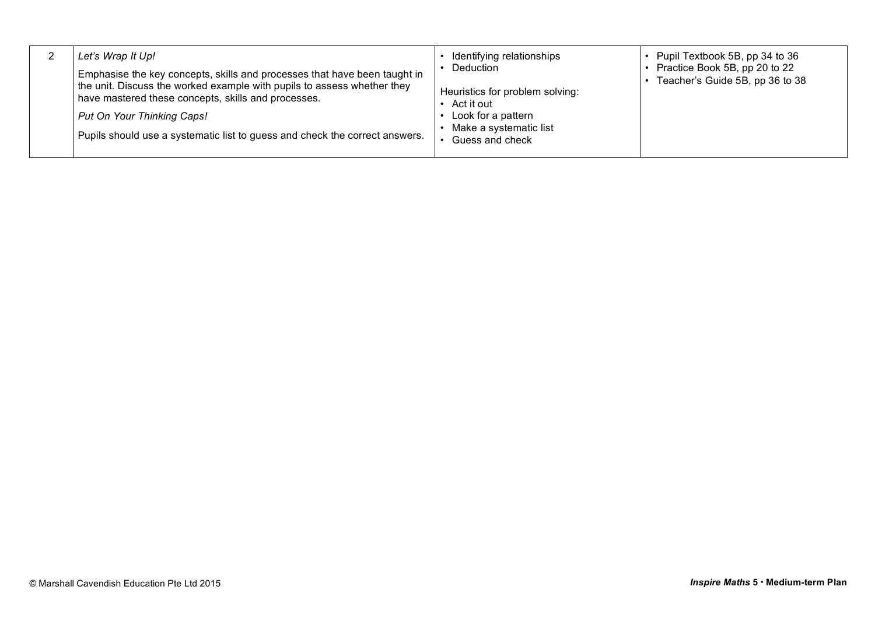|  | Let's Wrap It Up!<br>Emphasise the key concepts, skills and processes that have been taught in<br>the unit. Discuss the worked example with pupils to assess whether they<br>have mastered these concepts, skills and processes.<br>Put On Your Thinking Caps!<br>Pupils should use a systematic list to guess and check the correct answers. | Identifying relationships<br><b>Deduction</b><br>Heuristics for problem solving:<br>Act it out<br>Look for a pattern<br>Make a systematic list<br>Guess and check | • Pupil Textbook 5B, pp 34 to 36<br>Practice Book 5B, pp 20 to 22<br>Teacher's Guide 5B, pp 36 to 38 |
|--|-----------------------------------------------------------------------------------------------------------------------------------------------------------------------------------------------------------------------------------------------------------------------------------------------------------------------------------------------|-------------------------------------------------------------------------------------------------------------------------------------------------------------------|------------------------------------------------------------------------------------------------------|
|--|-----------------------------------------------------------------------------------------------------------------------------------------------------------------------------------------------------------------------------------------------------------------------------------------------------------------------------------------------|-------------------------------------------------------------------------------------------------------------------------------------------------------------------|------------------------------------------------------------------------------------------------------|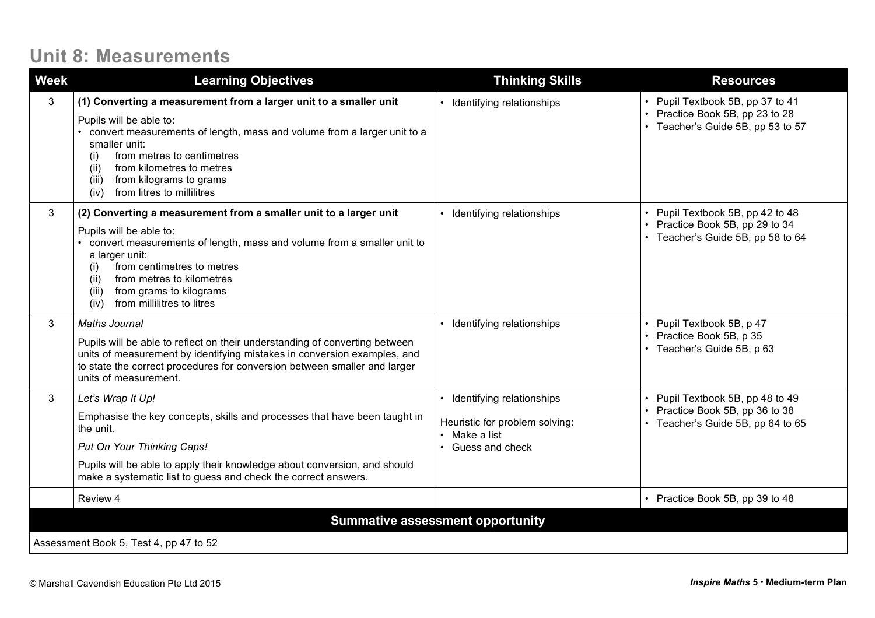### **Unit 8: Measurements**

| <b>Week</b> | <b>Learning Objectives</b>                                                                                                                                                                                                                                                                                                                   | <b>Thinking Skills</b>                                                                                    | <b>Resources</b>                                                                                         |  |  |
|-------------|----------------------------------------------------------------------------------------------------------------------------------------------------------------------------------------------------------------------------------------------------------------------------------------------------------------------------------------------|-----------------------------------------------------------------------------------------------------------|----------------------------------------------------------------------------------------------------------|--|--|
| 3           | (1) Converting a measurement from a larger unit to a smaller unit<br>Pupils will be able to:<br>convert measurements of length, mass and volume from a larger unit to a<br>smaller unit:<br>from metres to centimetres<br>(i)<br>from kilometres to metres<br>(i)<br>from kilograms to grams<br>(iii)<br>from litres to millilitres<br>(iv)  | • Identifying relationships                                                                               | • Pupil Textbook 5B, pp 37 to 41<br>• Practice Book 5B, pp 23 to 28<br>• Teacher's Guide 5B, pp 53 to 57 |  |  |
| 3           | (2) Converting a measurement from a smaller unit to a larger unit<br>Pupils will be able to:<br>convert measurements of length, mass and volume from a smaller unit to<br>a larger unit:<br>from centimetres to metres<br>(i)<br>from metres to kilometres<br>(ii)<br>from grams to kilograms<br>(iii)<br>from millilitres to litres<br>(iv) | Identifying relationships                                                                                 | • Pupil Textbook 5B, pp 42 to 48<br>• Practice Book 5B, pp 29 to 34<br>• Teacher's Guide 5B, pp 58 to 64 |  |  |
| 3           | <b>Maths Journal</b><br>Pupils will be able to reflect on their understanding of converting between<br>units of measurement by identifying mistakes in conversion examples, and<br>to state the correct procedures for conversion between smaller and larger<br>units of measurement.                                                        | • Identifying relationships                                                                               | • Pupil Textbook 5B, p 47<br>• Practice Book 5B, p 35<br>• Teacher's Guide 5B, p 63                      |  |  |
| 3           | Let's Wrap It Up!<br>Emphasise the key concepts, skills and processes that have been taught in<br>the unit.<br>Put On Your Thinking Caps!<br>Pupils will be able to apply their knowledge about conversion, and should<br>make a systematic list to guess and check the correct answers.                                                     | • Identifying relationships<br>Heuristic for problem solving:<br>$\cdot$ Make a list<br>• Guess and check | • Pupil Textbook 5B, pp 48 to 49<br>• Practice Book 5B, pp 36 to 38<br>• Teacher's Guide 5B, pp 64 to 65 |  |  |
|             | Review 4                                                                                                                                                                                                                                                                                                                                     |                                                                                                           | • Practice Book 5B, pp 39 to 48                                                                          |  |  |
|             | <b>Summative assessment opportunity</b>                                                                                                                                                                                                                                                                                                      |                                                                                                           |                                                                                                          |  |  |
|             | Assessment Book 5, Test 4, pp 47 to 52                                                                                                                                                                                                                                                                                                       |                                                                                                           |                                                                                                          |  |  |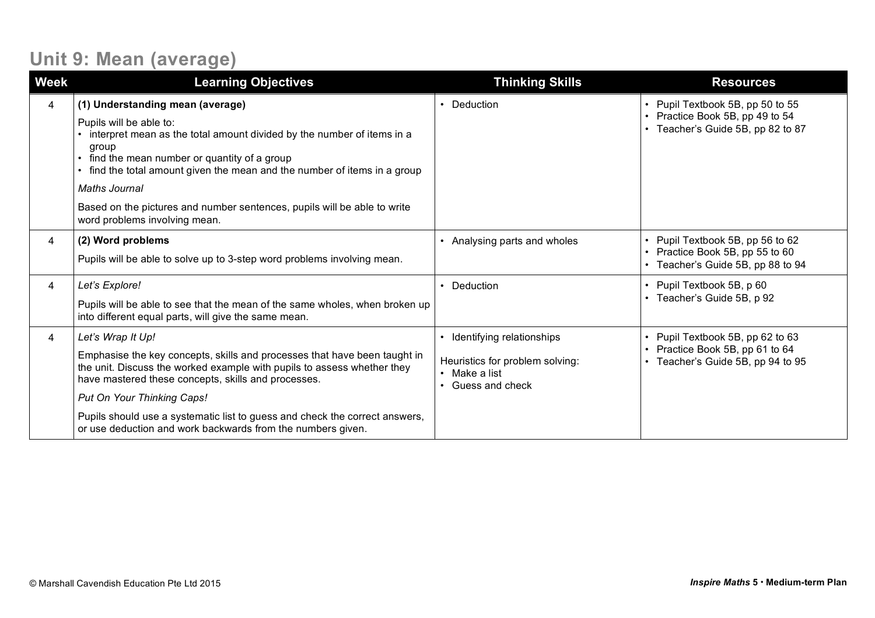# **Unit 9: Mean (average)**

| <b>Week</b> | <b>Learning Objectives</b>                                                                                                                                                                                                                                                                                                                                                                                   | <b>Thinking Skills</b>                                                                                          | <b>Resources</b>                                                                                   |
|-------------|--------------------------------------------------------------------------------------------------------------------------------------------------------------------------------------------------------------------------------------------------------------------------------------------------------------------------------------------------------------------------------------------------------------|-----------------------------------------------------------------------------------------------------------------|----------------------------------------------------------------------------------------------------|
| 4           | (1) Understanding mean (average)<br>Pupils will be able to:<br>interpret mean as the total amount divided by the number of items in a<br>group<br>• find the mean number or quantity of a group<br>find the total amount given the mean and the number of items in a group<br>Maths Journal<br>Based on the pictures and number sentences, pupils will be able to write<br>word problems involving mean.     | • Deduction                                                                                                     | Pupil Textbook 5B, pp 50 to 55<br>Practice Book 5B, pp 49 to 54<br>Teacher's Guide 5B, pp 82 to 87 |
| 4           | (2) Word problems<br>Pupils will be able to solve up to 3-step word problems involving mean.                                                                                                                                                                                                                                                                                                                 | • Analysing parts and wholes                                                                                    | Pupil Textbook 5B, pp 56 to 62<br>Practice Book 5B, pp 55 to 60<br>Teacher's Guide 5B, pp 88 to 94 |
| 4           | Let's Explore!<br>Pupils will be able to see that the mean of the same wholes, when broken up<br>into different equal parts, will give the same mean.                                                                                                                                                                                                                                                        | • Deduction                                                                                                     | Pupil Textbook 5B, p 60<br>Teacher's Guide 5B, p 92                                                |
| 4           | Let's Wrap It Up!<br>Emphasise the key concepts, skills and processes that have been taught in<br>the unit. Discuss the worked example with pupils to assess whether they<br>have mastered these concepts, skills and processes.<br>Put On Your Thinking Caps!<br>Pupils should use a systematic list to guess and check the correct answers,<br>or use deduction and work backwards from the numbers given. | • Identifying relationships<br>Heuristics for problem solving:<br>• Make a list<br>Guess and check<br>$\bullet$ | Pupil Textbook 5B, pp 62 to 63<br>Practice Book 5B, pp 61 to 64<br>Teacher's Guide 5B, pp 94 to 95 |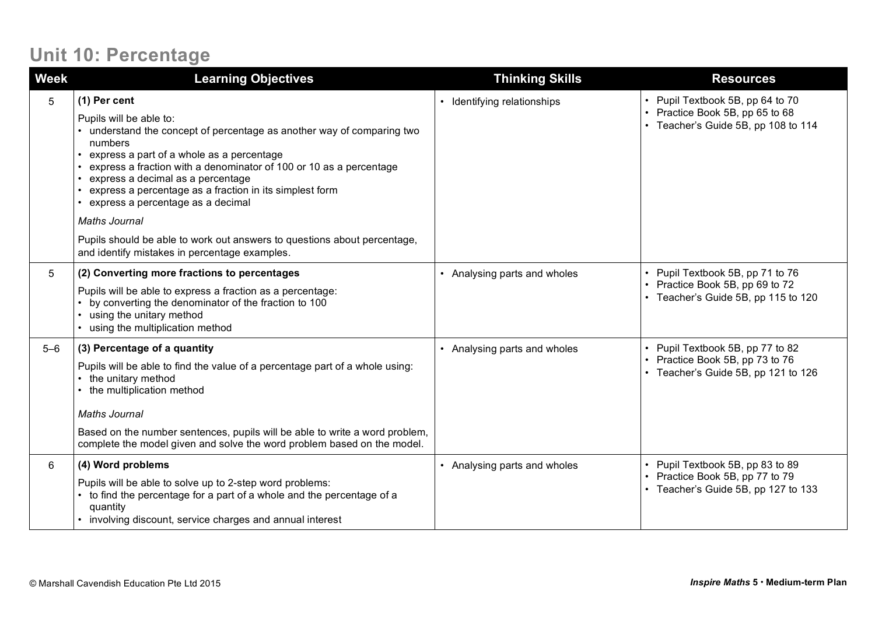#### **Unit 10: Percentage**

| <b>Week</b> | <b>Learning Objectives</b>                                                                                                                                                                                                                                                                                                                                                                                   | <b>Thinking Skills</b>       | <b>Resources</b>                                                                                           |
|-------------|--------------------------------------------------------------------------------------------------------------------------------------------------------------------------------------------------------------------------------------------------------------------------------------------------------------------------------------------------------------------------------------------------------------|------------------------------|------------------------------------------------------------------------------------------------------------|
| 5           | (1) Per cent<br>Pupils will be able to:<br>• understand the concept of percentage as another way of comparing two<br>numbers<br>express a part of a whole as a percentage<br>express a fraction with a denominator of 100 or 10 as a percentage<br>express a decimal as a percentage<br>express a percentage as a fraction in its simplest form<br>express a percentage as a decimal<br><b>Maths Journal</b> | • Identifying relationships  | • Pupil Textbook 5B, pp 64 to 70<br>• Practice Book 5B, pp 65 to 68<br>• Teacher's Guide 5B, pp 108 to 114 |
|             | Pupils should be able to work out answers to questions about percentage,<br>and identify mistakes in percentage examples.                                                                                                                                                                                                                                                                                    |                              |                                                                                                            |
| 5           | (2) Converting more fractions to percentages<br>Pupils will be able to express a fraction as a percentage:<br>by converting the denominator of the fraction to 100<br>using the unitary method<br>using the multiplication method                                                                                                                                                                            | • Analysing parts and wholes | • Pupil Textbook 5B, pp 71 to 76<br>• Practice Book 5B, pp 69 to 72<br>• Teacher's Guide 5B, pp 115 to 120 |
| $5 - 6$     | (3) Percentage of a quantity<br>Pupils will be able to find the value of a percentage part of a whole using:<br>the unitary method<br>the multiplication method<br><b>Maths Journal</b><br>Based on the number sentences, pupils will be able to write a word problem,<br>complete the model given and solve the word problem based on the model.                                                            | • Analysing parts and wholes | • Pupil Textbook 5B, pp 77 to 82<br>• Practice Book 5B, pp 73 to 76<br>• Teacher's Guide 5B, pp 121 to 126 |
| 6           | (4) Word problems<br>Pupils will be able to solve up to 2-step word problems:<br>to find the percentage for a part of a whole and the percentage of a<br>quantity<br>• involving discount, service charges and annual interest                                                                                                                                                                               | • Analysing parts and wholes | • Pupil Textbook 5B, pp 83 to 89<br>• Practice Book 5B, pp 77 to 79<br>• Teacher's Guide 5B, pp 127 to 133 |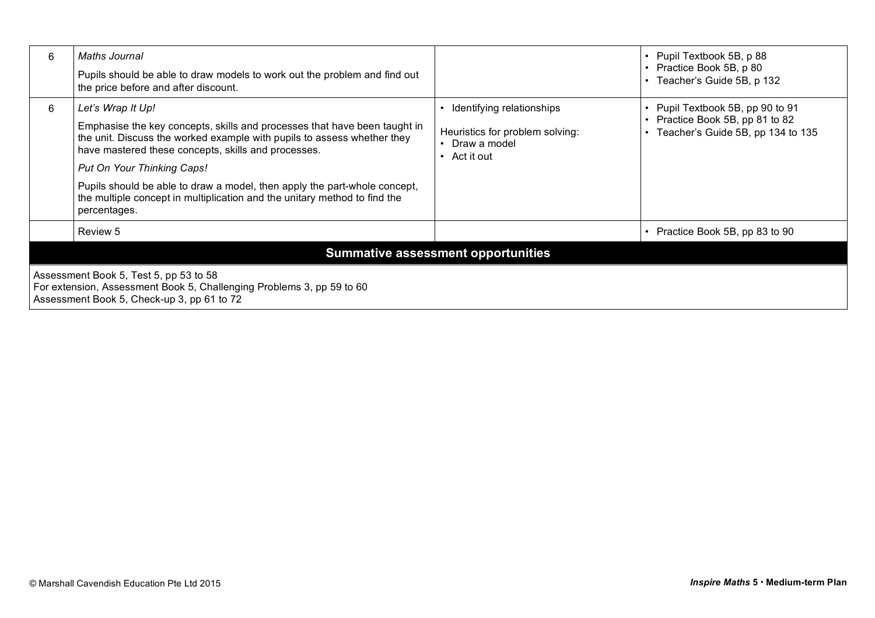| 6                                                                                                                                                             | Maths Journal<br>Pupils should be able to draw models to work out the problem and find out<br>the price before and after discount.                                                                                                                                                                                                                                                                                                       |                                                                                            | • Pupil Textbook 5B, p 88<br>• Practice Book 5B, p 80<br>• Teacher's Guide 5B, p 132                       |  |
|---------------------------------------------------------------------------------------------------------------------------------------------------------------|------------------------------------------------------------------------------------------------------------------------------------------------------------------------------------------------------------------------------------------------------------------------------------------------------------------------------------------------------------------------------------------------------------------------------------------|--------------------------------------------------------------------------------------------|------------------------------------------------------------------------------------------------------------|--|
| 6                                                                                                                                                             | Let's Wrap It Up!<br>Emphasise the key concepts, skills and processes that have been taught in<br>the unit. Discuss the worked example with pupils to assess whether they<br>have mastered these concepts, skills and processes.<br>Put On Your Thinking Caps!<br>Pupils should be able to draw a model, then apply the part-whole concept,<br>the multiple concept in multiplication and the unitary method to find the<br>percentages. | Identifying relationships<br>Heuristics for problem solving:<br>Draw a model<br>Act it out | • Pupil Textbook 5B, pp 90 to 91<br>• Practice Book 5B, pp 81 to 82<br>• Teacher's Guide 5B, pp 134 to 135 |  |
|                                                                                                                                                               | Review 5                                                                                                                                                                                                                                                                                                                                                                                                                                 |                                                                                            | • Practice Book 5B, pp 83 to 90                                                                            |  |
| <b>Summative assessment opportunities</b>                                                                                                                     |                                                                                                                                                                                                                                                                                                                                                                                                                                          |                                                                                            |                                                                                                            |  |
| Assessment Book 5, Test 5, pp 53 to 58<br>For extension, Assessment Book 5, Challenging Problems 3, pp 59 to 60<br>Assessment Book 5, Check-up 3, pp 61 to 72 |                                                                                                                                                                                                                                                                                                                                                                                                                                          |                                                                                            |                                                                                                            |  |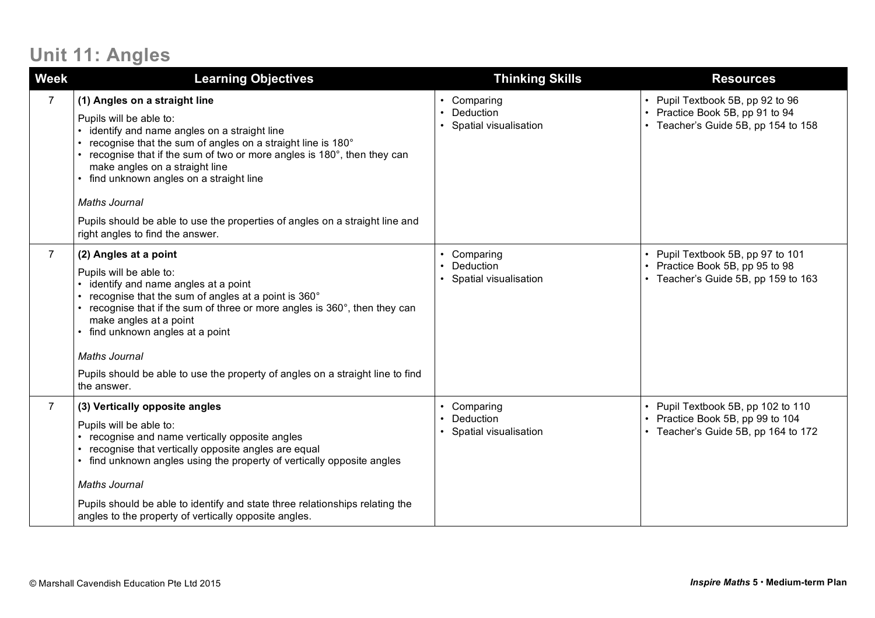## **Unit 11: Angles**

| <b>Week</b>    | <b>Learning Objectives</b>                                                                                                                                                                                                                                                                                                                                                                                                                                                       | <b>Thinking Skills</b>                                                      | <b>Resources</b>                                                                                              |
|----------------|----------------------------------------------------------------------------------------------------------------------------------------------------------------------------------------------------------------------------------------------------------------------------------------------------------------------------------------------------------------------------------------------------------------------------------------------------------------------------------|-----------------------------------------------------------------------------|---------------------------------------------------------------------------------------------------------------|
| $\overline{7}$ | (1) Angles on a straight line<br>Pupils will be able to:<br>• identify and name angles on a straight line<br>• recognise that the sum of angles on a straight line is 180°<br>• recognise that if the sum of two or more angles is 180°, then they can<br>make angles on a straight line<br>• find unknown angles on a straight line<br><b>Maths Journal</b><br>Pupils should be able to use the properties of angles on a straight line and<br>right angles to find the answer. | • Comparing<br>Deduction<br>$\bullet$<br>Spatial visualisation<br>$\bullet$ | • Pupil Textbook 5B, pp 92 to 96<br>• Practice Book 5B, pp 91 to 94<br>• Teacher's Guide 5B, pp 154 to 158    |
| $\overline{7}$ | (2) Angles at a point<br>Pupils will be able to:<br>• identify and name angles at a point<br>• recognise that the sum of angles at a point is 360°<br>• recognise that if the sum of three or more angles is 360°, then they can<br>make angles at a point<br>• find unknown angles at a point<br><b>Maths Journal</b><br>Pupils should be able to use the property of angles on a straight line to find<br>the answer.                                                          | Comparing<br>$\bullet$<br>Deduction<br>$\bullet$<br>Spatial visualisation   | • Pupil Textbook 5B, pp 97 to 101<br>• Practice Book 5B, pp 95 to 98<br>• Teacher's Guide 5B, pp 159 to 163   |
| $\overline{7}$ | (3) Vertically opposite angles<br>Pupils will be able to:<br>• recognise and name vertically opposite angles<br>recognise that vertically opposite angles are equal<br>• find unknown angles using the property of vertically opposite angles<br><b>Maths Journal</b><br>Pupils should be able to identify and state three relationships relating the<br>angles to the property of vertically opposite angles.                                                                   | Comparing<br>$\bullet$<br>Deduction<br>Spatial visualisation                | • Pupil Textbook 5B, pp 102 to 110<br>• Practice Book 5B, pp 99 to 104<br>• Teacher's Guide 5B, pp 164 to 172 |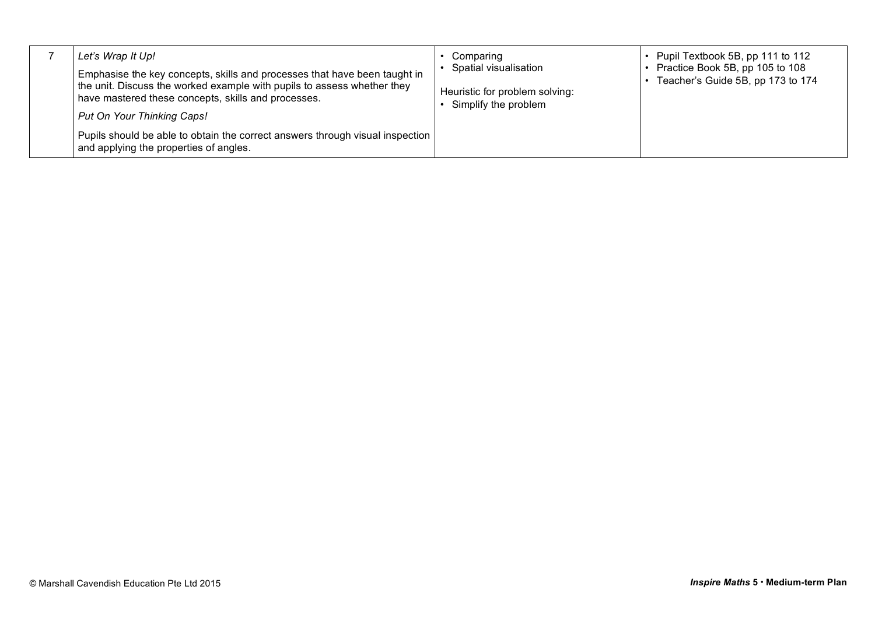|  | Let's Wrap It Up!<br>Emphasise the key concepts, skills and processes that have been taught in<br>the unit. Discuss the worked example with pupils to assess whether they<br>have mastered these concepts, skills and processes.<br>Put On Your Thinking Caps!<br>Pupils should be able to obtain the correct answers through visual inspection<br>and applying the properties of angles. | Comparing<br>Spatial visualisation<br>Heuristic for problem solving:<br>Simplify the problem | • Pupil Textbook 5B, pp 111 to 112<br>Practice Book 5B, pp 105 to 108<br>Teacher's Guide 5B, pp 173 to 174 |
|--|-------------------------------------------------------------------------------------------------------------------------------------------------------------------------------------------------------------------------------------------------------------------------------------------------------------------------------------------------------------------------------------------|----------------------------------------------------------------------------------------------|------------------------------------------------------------------------------------------------------------|
|--|-------------------------------------------------------------------------------------------------------------------------------------------------------------------------------------------------------------------------------------------------------------------------------------------------------------------------------------------------------------------------------------------|----------------------------------------------------------------------------------------------|------------------------------------------------------------------------------------------------------------|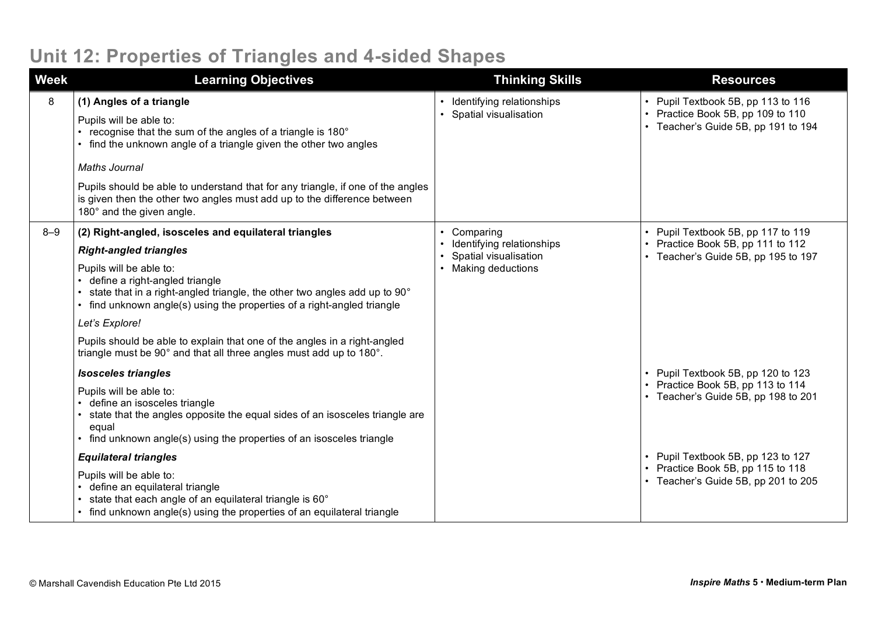## **Unit 12: Properties of Triangles and 4-sided Shapes**

| <b>Week</b> | <b>Learning Objectives</b>                                                                                                                                                                                                                                                                                                                                                                                                                                                                                                                                               | <b>Thinking Skills</b>                                                               | <b>Resources</b>                                                                                                                                                                                                                 |
|-------------|--------------------------------------------------------------------------------------------------------------------------------------------------------------------------------------------------------------------------------------------------------------------------------------------------------------------------------------------------------------------------------------------------------------------------------------------------------------------------------------------------------------------------------------------------------------------------|--------------------------------------------------------------------------------------|----------------------------------------------------------------------------------------------------------------------------------------------------------------------------------------------------------------------------------|
| 8           | (1) Angles of a triangle<br>Pupils will be able to:<br>recognise that the sum of the angles of a triangle is 180°<br>• find the unknown angle of a triangle given the other two angles<br><b>Maths Journal</b><br>Pupils should be able to understand that for any triangle, if one of the angles<br>is given then the other two angles must add up to the difference between<br>180° and the given angle.                                                                                                                                                               | Identifying relationships<br>Spatial visualisation                                   | • Pupil Textbook 5B, pp 113 to 116<br>• Practice Book 5B, pp 109 to 110<br>• Teacher's Guide 5B, pp 191 to 194                                                                                                                   |
| $8 - 9$     | (2) Right-angled, isosceles and equilateral triangles<br><b>Right-angled triangles</b><br>Pupils will be able to:<br>define a right-angled triangle<br>state that in a right-angled triangle, the other two angles add up to 90°<br>find unknown angle(s) using the properties of a right-angled triangle<br>Let's Explore!<br>Pupils should be able to explain that one of the angles in a right-angled<br>triangle must be 90° and that all three angles must add up to 180°.<br><b>Isosceles triangles</b><br>Pupils will be able to:<br>define an isosceles triangle | Comparing<br>Identifying relationships<br>Spatial visualisation<br>Making deductions | • Pupil Textbook 5B, pp 117 to 119<br>• Practice Book 5B, pp 111 to 112<br>• Teacher's Guide 5B, pp 195 to 197<br>• Pupil Textbook 5B, pp 120 to 123<br>• Practice Book 5B, pp 113 to 114<br>• Teacher's Guide 5B, pp 198 to 201 |
|             | state that the angles opposite the equal sides of an isosceles triangle are<br>equal<br>find unknown angle(s) using the properties of an isosceles triangle<br><b>Equilateral triangles</b><br>Pupils will be able to:<br>define an equilateral triangle<br>state that each angle of an equilateral triangle is 60°<br>• find unknown angle(s) using the properties of an equilateral triangle                                                                                                                                                                           |                                                                                      | • Pupil Textbook 5B, pp 123 to 127<br>• Practice Book 5B, pp 115 to 118<br>• Teacher's Guide 5B, pp 201 to 205                                                                                                                   |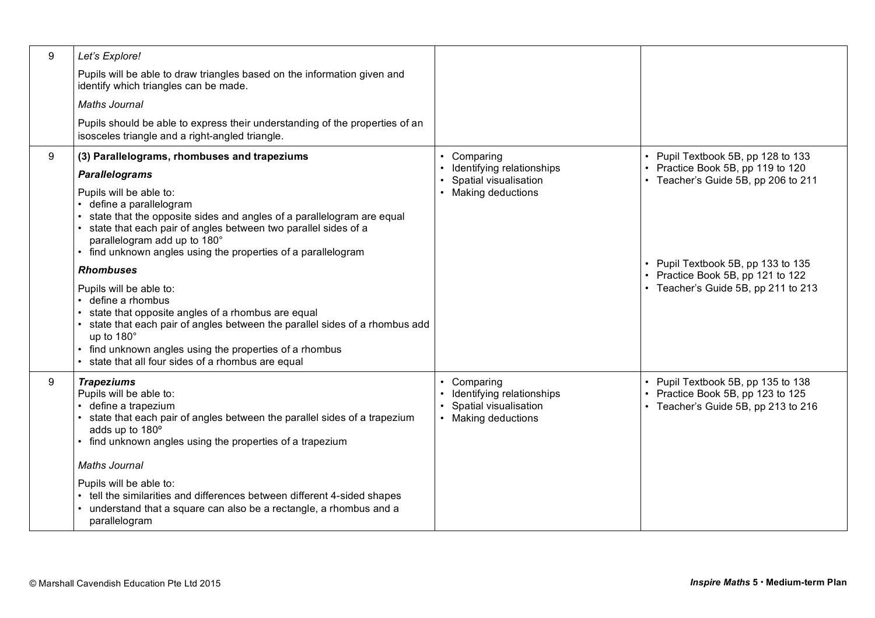| 9 | Let's Explore!                                                                                                                                                                                                                                                                                                    |                                                                                        |                                                                                                                |
|---|-------------------------------------------------------------------------------------------------------------------------------------------------------------------------------------------------------------------------------------------------------------------------------------------------------------------|----------------------------------------------------------------------------------------|----------------------------------------------------------------------------------------------------------------|
|   | Pupils will be able to draw triangles based on the information given and<br>identify which triangles can be made.                                                                                                                                                                                                 |                                                                                        |                                                                                                                |
|   | <b>Maths Journal</b>                                                                                                                                                                                                                                                                                              |                                                                                        |                                                                                                                |
|   | Pupils should be able to express their understanding of the properties of an<br>isosceles triangle and a right-angled triangle.                                                                                                                                                                                   |                                                                                        |                                                                                                                |
| 9 | (3) Parallelograms, rhombuses and trapeziums                                                                                                                                                                                                                                                                      | Comparing                                                                              | • Pupil Textbook 5B, pp 128 to 133                                                                             |
|   | <b>Parallelograms</b>                                                                                                                                                                                                                                                                                             | Identifying relationships<br>Spatial visualisation                                     | • Practice Book 5B, pp 119 to 120<br>• Teacher's Guide 5B, pp 206 to 211                                       |
|   | Pupils will be able to:<br>• define a parallelogram<br>state that the opposite sides and angles of a parallelogram are equal<br>state that each pair of angles between two parallel sides of a<br>parallelogram add up to 180°<br>• find unknown angles using the properties of a parallelogram                   | • Making deductions                                                                    |                                                                                                                |
|   | <b>Rhombuses</b>                                                                                                                                                                                                                                                                                                  |                                                                                        | • Pupil Textbook 5B, pp 133 to 135<br>• Practice Book 5B, pp 121 to 122                                        |
|   | Pupils will be able to:<br>• define a rhombus<br>state that opposite angles of a rhombus are equal<br>• state that each pair of angles between the parallel sides of a rhombus add<br>up to 180°<br>• find unknown angles using the properties of a rhombus<br>• state that all four sides of a rhombus are equal |                                                                                        | • Teacher's Guide 5B, pp 211 to 213                                                                            |
| 9 | <b>Trapeziums</b><br>Pupils will be able to:<br>• define a trapezium<br>state that each pair of angles between the parallel sides of a trapezium<br>adds up to 180°<br>• find unknown angles using the properties of a trapezium                                                                                  | Comparing<br>Identifying relationships<br>Spatial visualisation<br>• Making deductions | • Pupil Textbook 5B, pp 135 to 138<br>• Practice Book 5B, pp 123 to 125<br>• Teacher's Guide 5B, pp 213 to 216 |
|   | <b>Maths Journal</b>                                                                                                                                                                                                                                                                                              |                                                                                        |                                                                                                                |
|   | Pupils will be able to:<br>• tell the similarities and differences between different 4-sided shapes<br>• understand that a square can also be a rectangle, a rhombus and a<br>parallelogram                                                                                                                       |                                                                                        |                                                                                                                |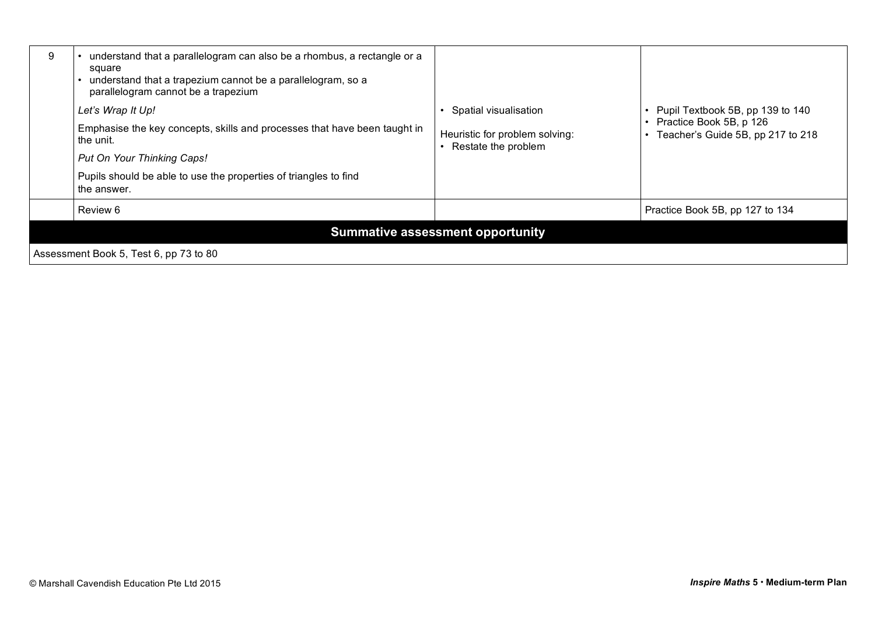| 9                                      | understand that a parallelogram can also be a rhombus, a rectangle or a<br>square<br>understand that a trapezium cannot be a parallelogram, so a<br>parallelogram cannot be a trapezium<br>Let's Wrap It Up!<br>Emphasise the key concepts, skills and processes that have been taught in<br>the unit.<br>Put On Your Thinking Caps!<br>Pupils should be able to use the properties of triangles to find | Spatial visualisation<br>Heuristic for problem solving:<br>Restate the problem | • Pupil Textbook 5B, pp 139 to 140<br>• Practice Book 5B, p 126<br>Teacher's Guide 5B, pp 217 to 218 |  |
|----------------------------------------|----------------------------------------------------------------------------------------------------------------------------------------------------------------------------------------------------------------------------------------------------------------------------------------------------------------------------------------------------------------------------------------------------------|--------------------------------------------------------------------------------|------------------------------------------------------------------------------------------------------|--|
|                                        | the answer.<br>Review 6                                                                                                                                                                                                                                                                                                                                                                                  |                                                                                | Practice Book 5B, pp 127 to 134                                                                      |  |
|                                        |                                                                                                                                                                                                                                                                                                                                                                                                          | <b>Summative assessment opportunity</b>                                        |                                                                                                      |  |
| Assessment Book 5, Test 6, pp 73 to 80 |                                                                                                                                                                                                                                                                                                                                                                                                          |                                                                                |                                                                                                      |  |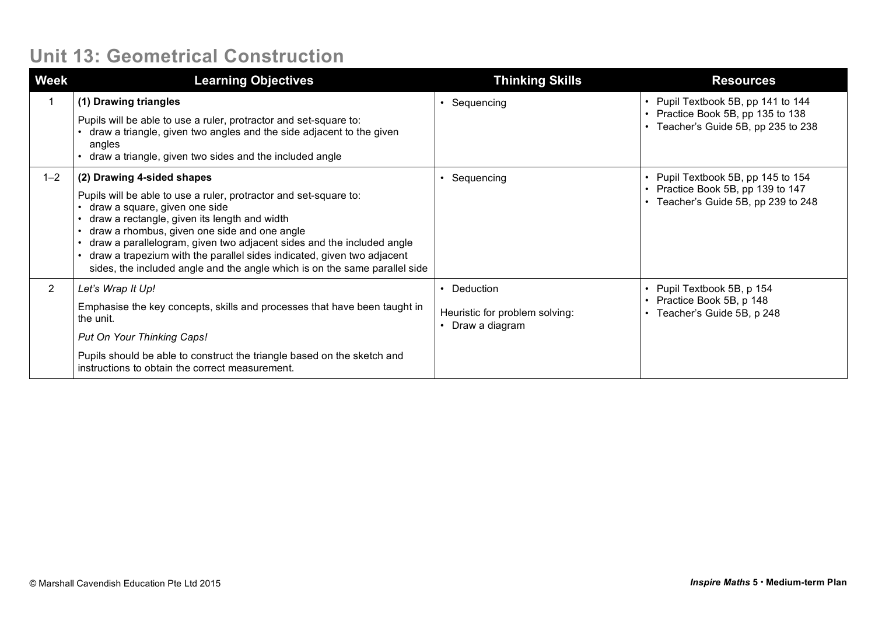## **Unit 13: Geometrical Construction**

| <b>Week</b>    | <b>Learning Objectives</b>                                                                                                                                                                                                                                                                                                                                                                                                                                        | <b>Thinking Skills</b>                                          | <b>Resources</b>                                                                                               |
|----------------|-------------------------------------------------------------------------------------------------------------------------------------------------------------------------------------------------------------------------------------------------------------------------------------------------------------------------------------------------------------------------------------------------------------------------------------------------------------------|-----------------------------------------------------------------|----------------------------------------------------------------------------------------------------------------|
|                | (1) Drawing triangles<br>Pupils will be able to use a ruler, protractor and set-square to:<br>draw a triangle, given two angles and the side adjacent to the given<br>angles<br>draw a triangle, given two sides and the included angle                                                                                                                                                                                                                           | Sequencing                                                      | • Pupil Textbook 5B, pp 141 to 144<br>• Practice Book 5B, pp 135 to 138<br>• Teacher's Guide 5B, pp 235 to 238 |
| $1 - 2$        | (2) Drawing 4-sided shapes<br>Pupils will be able to use a ruler, protractor and set-square to:<br>draw a square, given one side<br>draw a rectangle, given its length and width<br>draw a rhombus, given one side and one angle<br>draw a parallelogram, given two adjacent sides and the included angle<br>draw a trapezium with the parallel sides indicated, given two adjacent<br>sides, the included angle and the angle which is on the same parallel side | Sequencing                                                      | • Pupil Textbook 5B, pp 145 to 154<br>• Practice Book 5B, pp 139 to 147<br>• Teacher's Guide 5B, pp 239 to 248 |
| $\overline{2}$ | Let's Wrap It Up!<br>Emphasise the key concepts, skills and processes that have been taught in<br>the unit.<br>Put On Your Thinking Caps!<br>Pupils should be able to construct the triangle based on the sketch and<br>instructions to obtain the correct measurement.                                                                                                                                                                                           | • Deduction<br>Heuristic for problem solving:<br>Draw a diagram | • Pupil Textbook 5B, p 154<br>• Practice Book 5B, p 148<br>• Teacher's Guide 5B, p 248                         |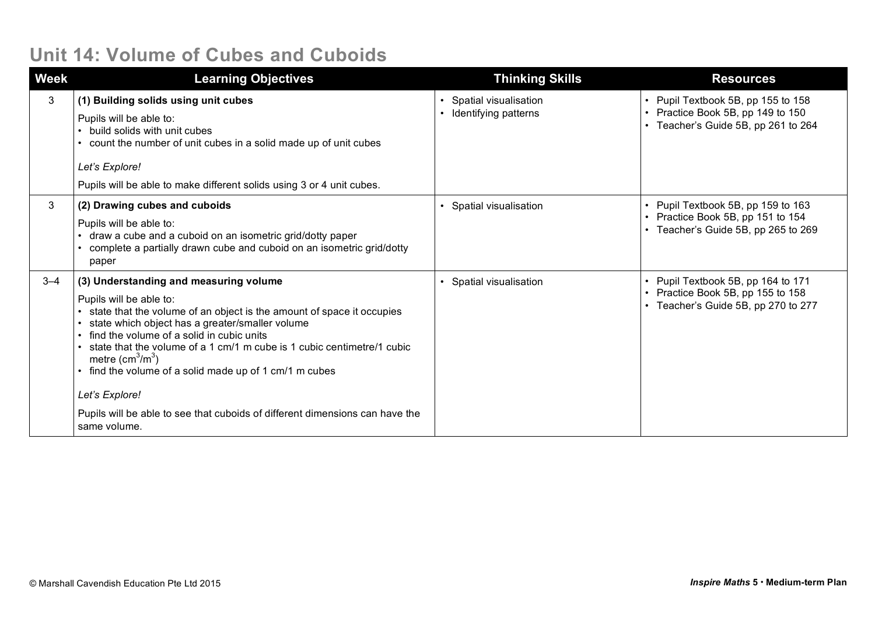#### **Unit 14: Volume of Cubes and Cuboids**

| <b>Week</b> | <b>Learning Objectives</b>                                                                                                                                                                                                                                                                                                                                                                                                                                                                                                         | <b>Thinking Skills</b>                                                  | <b>Resources</b>                                                                                               |
|-------------|------------------------------------------------------------------------------------------------------------------------------------------------------------------------------------------------------------------------------------------------------------------------------------------------------------------------------------------------------------------------------------------------------------------------------------------------------------------------------------------------------------------------------------|-------------------------------------------------------------------------|----------------------------------------------------------------------------------------------------------------|
| 3           | (1) Building solids using unit cubes<br>Pupils will be able to:<br>build solids with unit cubes<br>count the number of unit cubes in a solid made up of unit cubes<br>Let's Explore!<br>Pupils will be able to make different solids using 3 or 4 unit cubes.                                                                                                                                                                                                                                                                      | Spatial visualisation<br>$\bullet$<br>Identifying patterns<br>$\bullet$ | • Pupil Textbook 5B, pp 155 to 158<br>• Practice Book 5B, pp 149 to 150<br>• Teacher's Guide 5B, pp 261 to 264 |
| 3           | (2) Drawing cubes and cuboids<br>Pupils will be able to:<br>draw a cube and a cuboid on an isometric grid/dotty paper<br>complete a partially drawn cube and cuboid on an isometric grid/dotty<br>paper                                                                                                                                                                                                                                                                                                                            | Spatial visualisation<br>$\bullet$                                      | • Pupil Textbook 5B, pp 159 to 163<br>• Practice Book 5B, pp 151 to 154<br>Teacher's Guide 5B, pp 265 to 269   |
| $3 - 4$     | (3) Understanding and measuring volume<br>Pupils will be able to:<br>state that the volume of an object is the amount of space it occupies<br>state which object has a greater/smaller volume<br>find the volume of a solid in cubic units<br>state that the volume of a 1 cm/1 m cube is 1 cubic centimetre/1 cubic<br>metre $\text{(cm}^3\text{/m}^3)$<br>find the volume of a solid made up of 1 cm/1 m cubes<br>Let's Explore!<br>Pupils will be able to see that cuboids of different dimensions can have the<br>same volume. | Spatial visualisation                                                   | • Pupil Textbook 5B, pp 164 to 171<br>• Practice Book 5B, pp 155 to 158<br>Teacher's Guide 5B, pp 270 to 277   |